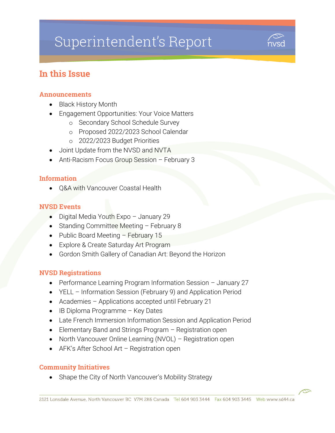# Superintendent's Report



# In this Issue

#### Announcements

- Black History Month
- Engagement Opportunities: Your Voice Matters
	- o Secondary School Schedule Survey
	- o Proposed 2022/2023 School Calendar
	- o 2022/2023 Budget Priorities
- Joint Update from the NVSD and NVTA
- Anti-Racism Focus Group Session February 3

#### Information

• O&A with Vancouver Coastal Health

#### NVSD Events

- Digital Media Youth Expo January 29
- Standing Committee Meeting February 8
- Public Board Meeting February 15
- Explore & Create Saturday Art Program
- Gordon Smith Gallery of Canadian Art: Beyond the Horizon

#### NVSD Registrations

- Performance Learning Program Information Session January 27
- YELL Information Session (February 9) and Application Period
- Academies Applications accepted until February 21
- IB Diploma Programme Key Dates
- Late French Immersion Information Session and Application Period
- Elementary Band and Strings Program Registration open
- North Vancouver Online Learning (NVOL) Registration open
- AFK's After School Art Registration open

#### Community Initiatives

Shape the City of North Vancouver's Mobility Strategy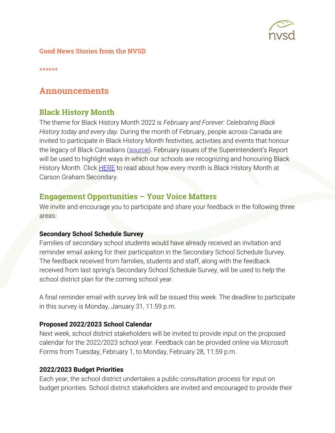

#### Good News Stories from the NVSD

\*\*\*\*\*\*

## Announcements

#### Black History Month

The theme for Black History Month 2022 is *February and Forever: Celebrating Black History today and every day.* During the month of February, people across Canada are invited to participate in Black History Month festivities, activities and events that honour the legacy of Black Canadians [\(source](https://www.canada.ca/en/canadian-heritage/campaigns/black-history-month.html)). February issues of the Superintendent's Report will be used to highlight ways in which our schools are recognizing and honouring Black History Month. Click **HERE** to read about how every month is Black History Month at Carson Graham Secondary.

#### Engagement Opportunities – Your Voice Matters

We invite and encourage you to participate and share your feedback in the following three areas:

#### **Secondary School Schedule Survey**

Families of secondary school students would have already received an invitation and reminder email asking for their participation in the Secondary School Schedule Survey. The feedback received from families, students and staff, along with the feedback received from last spring's Secondary School Schedule Survey, will be used to help the school district plan for the coming school year.

A final reminder email with survey link will be issued this week. The deadline to participate in this survey is Monday, January 31, 11:59 p.m.

#### **Proposed 2022/2023 School Calendar**

Next week, school district stakeholders will be invited to provide input on the proposed calendar for the 2022/2023 school year. Feedback can be provided online via Microsoft Forms from Tuesday, February 1, to Monday, February 28, 11:59 p.m.

#### **2022/2023 Budget Priorities**

Each year, the school district undertakes a public consultation process for input on budget priorities. School district stakeholders are invited and encouraged to provide their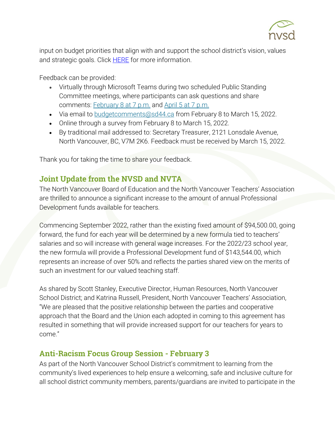

input on budget priorities that align with and support the school district's vision, values and strategic goals. Click **HERE** for more information.

Feedback can be provided:

- Virtually through Microsoft Teams during two scheduled Public Standing Committee meetings, where participants can ask questions and share comments: [February 8 at 7](https://www.sd44.ca/Board/Meetings/Pages/default.aspx#/=) p.m. and [April 5 at 7](https://www.sd44.ca/Board/Meetings/Pages/default.aspx#/=) p.m.
- Via email to [budgetcomments@sd44.ca](mailto:budgetcomments@sd44.ca) from February 8 to March 15, 2022.
- Online through a survey from February 8 to March 15, 2022.
- By traditional mail addressed to: Secretary Treasurer, 2121 Lonsdale Avenue, North Vancouver, BC, V7M 2K6. Feedback must be received by March 15, 2022.

Thank you for taking the time to share your feedback.

## Joint Update from the NVSD and NVTA

The North Vancouver Board of Education and the North Vancouver Teachers' Association are thrilled to announce a significant increase to the amount of annual Professional Development funds available for teachers.

Commencing September 2022, rather than the existing fixed amount of \$94,500.00, going forward, the fund for each year will be determined by a new formula tied to teachers' salaries and so will increase with general wage increases. For the 2022/23 school year, the new formula will provide a Professional Development fund of \$143,544.00, which represents an increase of over 50% and reflects the parties shared view on the merits of such an investment for our valued teaching staff.

As shared by Scott Stanley, Executive Director, Human Resources, North Vancouver School District; and Katrina Russell, President, North Vancouver Teachers' Association, "We are pleased that the positive relationship between the parties and cooperative approach that the Board and the Union each adopted in coming to this agreement has resulted in something that will provide increased support for our teachers for years to come."

## Anti-Racism Focus Group Session - February 3

As part of the North Vancouver School District's commitment to learning from the community's lived experiences to help ensure a welcoming, safe and inclusive culture for all school district community members, parents/guardians are invited to participate in the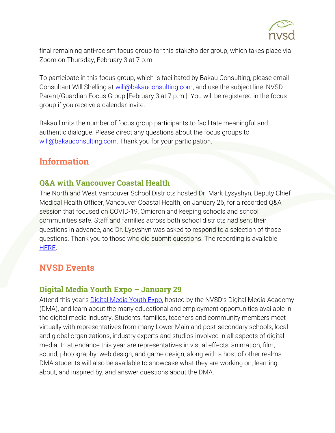

final remaining anti-racism focus group for this stakeholder group, which takes place via Zoom on Thursday, February 3 at 7 p.m.

To participate in this focus group, which is facilitated by Bakau Consulting, please email Consultant Will Shelling at [will@bakauconsulting.com,](mailto:will@bakauconsulting.com) and use the subject line: NVSD Parent/Guardian Focus Group [February 3 at 7 p.m.]. You will be registered in the focus group if you receive a calendar invite.

Bakau limits the number of focus group participants to facilitate meaningful and authentic dialogue. Please direct any questions about the focus groups to [will@bakauconsulting.com.](mailto:will@bakauconsulting.com) Thank you for your participation.

# Information

## Q&A with Vancouver Coastal Health

The North and West Vancouver School Districts hosted Dr. Mark Lysyshyn, Deputy Chief Medical Health Officer, Vancouver Coastal Health, on January 26, for a recorded Q&A session that focused on COVID-19, Omicron and keeping schools and school communities safe. Staff and families across both school districts had sent their questions in advance, and Dr. Lysyshyn was asked to respond to a selection of those questions. Thank you to those who did submit questions. The recording is available [HERE.](https://vimeo.com/670434777)

# **NVSD Events**

### Digital Media Youth Expo – January 29

Attend this year's **[Digital Media Youth Expo](http://digitalmediayouthexpo.ca/)**, hosted by the NVSD's Digital Media Academy (DMA), and learn about the many educational and employment opportunities available in the digital media industry. Students, families, teachers and community members meet virtually with representatives from many Lower Mainland post-secondary schools, local and global organizations, industry experts and studios involved in all aspects of digital media. In attendance this year are representatives in visual effects, animation, film, sound, photography, web design, and game design, along with a host of other realms. DMA students will also be available to showcase what they are working on, learning about, and inspired by, and answer questions about the DMA.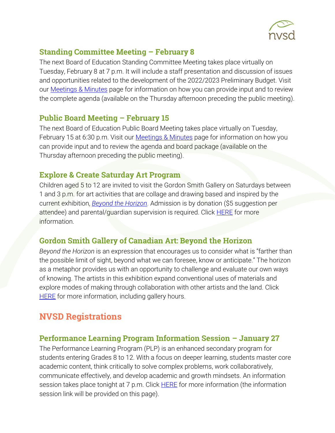

## Standing Committee Meeting – February 8

The next Board of Education Standing Committee Meeting takes place virtually on Tuesday, February 8 at 7 p.m. It will include a staff presentation and discussion of issues and opportunities related to the development of the 2022/2023 Preliminary Budget. Visit our [Meetings & Minutes](https://www.sd44.ca/Board/Meetings/Pages/default.aspx#/=) page for information on how you can provide input and to review the complete agenda (available on the Thursday afternoon preceding the public meeting).

## **Public Board Meeting – February 15**

The next Board of Education Public Board Meeting takes place virtually on Tuesday, February 15 at 6:30 p.m. Visit our **Meetings & Minutes** page for information on how you can provide input and to review the agenda and board package (available on the Thursday afternoon preceding the public meeting).

## Explore & Create Saturday Art Program

Children aged 5 to 12 are invited to visit the Gordon Smith Gallery on Saturdays between 1 and 3 p.m. for art activities that are collage and drawing based and inspired by the current exhibition, *[Beyond the Horizon](https://www.sd44.ca/school/artistsforkids/Visit/Exhibitions/Pages/default.aspx#/=)*. Admission is by donation (\$5 suggestion per attendee) and parental/guardian supervision is required. Click **HERE** for more information.

## Gordon Smith Gallery of Canadian Art: Beyond the Horizon

*Beyond the Horizon* is an expression that encourages us to consider what is "farther than the possible limit of sight, beyond what we can foresee, know or anticipate." The horizon as a metaphor provides us with an opportunity to challenge and evaluate our own ways of knowing. The artists in this exhibition expand conventional uses of materials and explore modes of making through collaboration with other artists and the land. Click **[HERE](https://www.sd44.ca/school/artistsforkids/Visit/Exhibitions/Pages/default.aspx#/=)** for more information, including gallery hours.

# NVSD Registrations

## Performance Learning Program Information Session – January 27

The Performance Learning Program (PLP) is an enhanced secondary program for students entering Grades 8 to 12. With a focus on deeper learning, students master core academic content, think critically to solve complex problems, work collaboratively, communicate effectively, and develop academic and growth mindsets. An information session takes place tonight at 7 p.m. Click **HERE** for more information (the information session link will be provided on this page).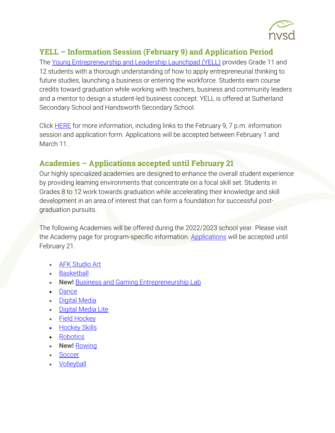

## YELL – Information Session (February 9) and Application Period

The [Young Entrepreneurship and Leadership Launchpad \(YELL\)](https://www.sd44.ca/ProgramsServices/careereducation/School-Based%20Career%20Programs/Pages/default.aspx#/=) provides Grade 11 and 12 students with a thorough understanding of how to apply entrepreneurial thinking to future studies, launching a business or entering the workforce. Students earn course credits toward graduation while working with teachers, business and community leaders and a mentor to design a student-led business concept. YELL is offered at Sutherland Secondary School and Handsworth Secondary School.

Click [HERE](https://www.sd44.ca/ProgramsServices/careereducation/School-Based%20Career%20Programs/Pages/default.aspx#/=https://www.sd44.ca/ProgramsServices/careereducation/School-Based%20Career%20Programs/Pages/default.aspx) for more information, including links to the February 9, 7 p.m. information session and application form. Applications will be accepted between February 1 and March 11.

## Academies – Applications accepted until February 21

Our highly specialized academies are designed to enhance the overall student experience by providing learning environments that concentrate on a focal skill set. Students in Grades 8 to 12 work towards graduation while accelerating their knowledge and skill development in an area of interest that can form a foundation for successful postgraduation pursuits.

The following Academies will be offered during the 2022/2023 school year. Please visit the Academy page for program-specific information. [Applications](https://www.sd44.ca/ProgramsServices/Academies/Pages/default.aspx#/=) will be accepted until February 21.

- [AFK Studio Art](https://www.sd44.ca/ProgramsServices/Academies/AFKAcademy/Pages/default.aspx#/=)
- [Basketball](https://www.sd44.ca/ProgramsServices/Academies/Basketball/Pages/default.aspx#/=)
- **New!** [Business and Gaming Entrepreneurship Lab](https://www.sd44.ca/ProgramsServices/Academies/Gaming/Pages/default.aspx#/=)
- [Dance](https://www.sd44.ca/ProgramsServices/Academies/Dance/Pages/default.aspx#/=)
- [Digital Media](https://www.sd44.ca/ProgramsServices/Academies/DigitalMedia/Pages/default.aspx#/=)
- [Digital Media Lite](https://www.sd44.ca/ProgramsServices/Academies/Digital%20Media%20Academy%20Lite/Pages/default.aspx#/=)
- [Field Hockey](https://www.sd44.ca/ProgramsServices/Academies/FieldHockey/Pages/default.aspx#/=)
- Hockey Skills
- [Robotics](https://www.sd44.ca/ProgramsServices/Academies/Robotics,%20Mechatronics%20%26%20Digital%20Fabrication/Pages/default.aspx#/=)
- **New! [Rowing](https://www.sd44.ca/ProgramsServices/Academies/rowing/Pages/default.aspx#/=)**
- [Soccer](https://www.sd44.ca/ProgramsServices/Academies/SoccerAcademy/Pages/default.aspx#/=)
- [Volleyball](https://www.sd44.ca/ProgramsServices/Academies/VolleyballAcademy/Pages/default.aspx#/=)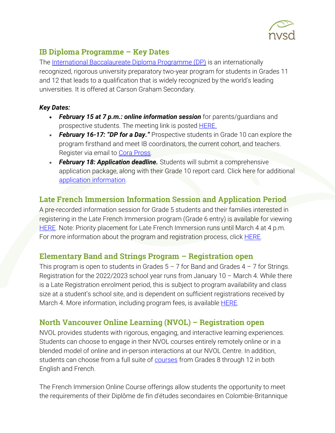

## IB Diploma Programme – Key Dates

The [International Baccalaureate Diploma Programme \(DP\)](https://www.sd44.ca/school/carson/diplomaprogramme/Pages/Default.aspx#/=) is an internationally recognized, rigorous university preparatory two-year program for students in Grades 11 and 12 that leads to a qualification that is widely recognized by the world's leading universities. It is offered at Carson Graham Secondary.

#### *Key Dates:*

- *February 15 at 7 p.m.: online information session* for parents/guardians and prospective students. The meeting link is posted **HERE.**
- *February 16-17: "DP for a Day."* Prospective students in Grade 10 can explore the program firsthand and meet IB coordinators, the current cohort, and teachers. Register via email to [Cora Pross.](mailto:cpross@sd44.ca)
- February 18: Application deadline. Students will submit a comprehensive application package, along with their Grade 10 report card. Click here for additional [application information.](https://www.sd44.ca/school/carson/diplomaprogramme/applicationprocess/Pages/default.aspx#/=)

# Late French Immersion Information Session and Application Period

A pre-recorded information session for Grade 5 students and their families interested in registering in the Late French Immersion program (Grade 6 entry) is available for viewing [HERE.](https://www.sd44.ca/ProgramsServices/FrenchImmersion/LateImmersion/Pages/default.aspx#/=) Note: Priority placement for Late French Immersion runs until March 4 at 4 p.m. For more information about the program and registration process, click **HERE**.

## Elementary Band and Strings Program – Registration open

This program is open to students in Grades  $5 - 7$  for Band and Grades  $4 - 7$  for Strings. Registration for the 2022/2023 school year runs from January 10 – March 4. While there is a Late Registration enrolment period, this is subject to program availability and class size at a student's school site, and is dependent on sufficient registrations received by March 4. More information, including program fees, is available **HERE**.

# North Vancouver Online Learning (NVOL) – Registration open

NVOL provides students with rigorous, engaging, and interactive learning experiences. Students can choose to engage in their NVOL courses entirely remotely online or in a blended model of online and in-person interactions at our NVOL Centre. In addition, students can choose from a full suite of **courses** from Grades 8 through 12 in both English and French.

The French Immersion Online Course offerings allow students the opportunity to meet the requirements of their Diplôme de fin d'études secondaires en Colombie-Britannique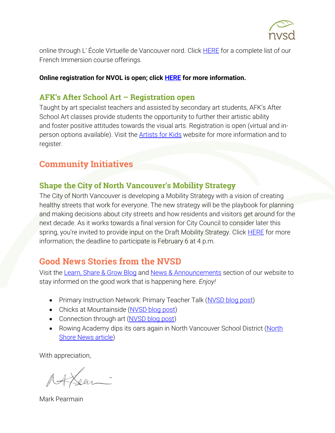

online through L' École Virtuelle de Vancouver nord. Click [HERE](https://www.sd44.ca/school/onlinelearning/ProgramsServices/EcoleVirtuelle/Pages/default.aspx#/=) for a complete list of our French Immersion course offerings.

#### **Online registration for NVOL is open; click [HERE](https://www.sd44.ca/school/onlinelearning/About/registration/Pages/default.aspx#/=) for more information.**

#### AFK's After School Art – Registration open

Taught by art specialist teachers and assisted by secondary art students, AFK's After School Art classes provide students the opportunity to further their artistic ability and foster positive attitudes towards the visual arts. Registration is open (virtual and inperson options available). Visit the **Artists for Kids** website for more information and to register.

## Community Initiatives

## Shape the City of North Vancouver's Mobility Strategy

The City of North Vancouver is developing a Mobility Strategy with a vision of creating healthy streets that work for everyone. The new strategy will be the playbook for planning and making decisions about city streets and how residents and visitors get around for the next decade. As it works towards a final version for City Council to consider later this spring, you're invited to provide input on the Draft Mobility Strategy. Click [HERE](https://www.cnv.org/City-Services/Streets-and-Transportation/Mobility-Strategy) for more information; the deadline to participate is February 6 at 4 p.m.

# Good News Stories from the NVSD

Visit the [Learn, Share & Grow Blog](https://www.sd44.ca/District/LearnShareGrow/default.aspx#/) and [News & Announcements](https://www.sd44.ca/Pages/newsarchive.aspx?ListID=d00680b1-9ba1-4668-9328-d82dd27dacd4) section of our website to stay informed on the good work that is happening here. *Enjoy!*

- Primary Instruction Network: Primary Teacher Talk [\(NVSD blog post\)](https://www.sd44.ca/District/LearnShareGrow/default.aspx#/view/670)
- Chicks at Mountainside [\(NVSD blog post\)](https://www.sd44.ca/District/LearnShareGrow/default.aspx#/view/669)
- Connection through art [\(NVSD blog post\)](https://www.sd44.ca/District/LearnShareGrow/default.aspx#/view/668)
- Rowing Academy dips its oars again in North Vancouver School District (North [Shore News article\)](https://www.sd44.ca/Pages/newsitem.aspx?ItemID=1060&ListID=d00680b1-9ba1-4668-9328-d82dd27dacd4&TemplateID=Announcement_Item#/=)

With appreciation,

Lear-

Mark Pearmain